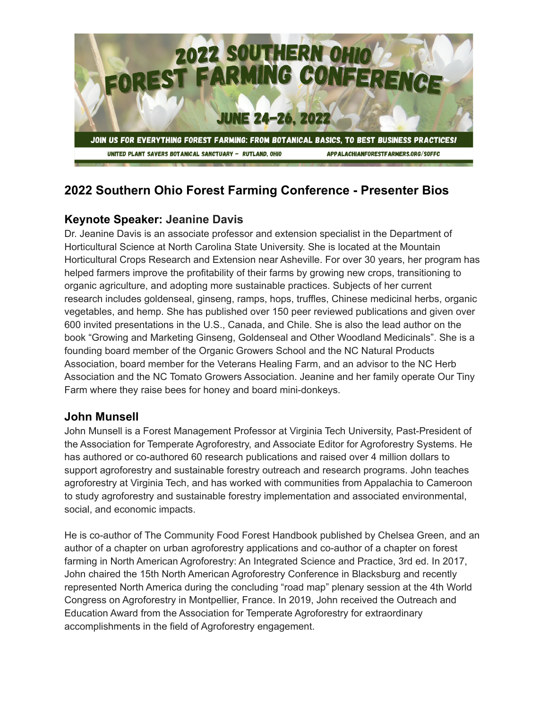

# **2022 Southern Ohio Forest Farming Conference - Presenter Bios**

# **Keynote Speaker: Jeanine Davis**

Dr. Jeanine Davis is an associate professor and extension specialist in the Department of Horticultural Science at North Carolina State University. She is located at the Mountain Horticultural Crops Research and Extension near Asheville. For over 30 years, her program has helped farmers improve the profitability of their farms by growing new crops, transitioning to organic agriculture, and adopting more sustainable practices. Subjects of her current research includes goldenseal, ginseng, ramps, hops, truffles, Chinese medicinal herbs, organic vegetables, and hemp. She has published over 150 peer reviewed publications and given over 600 invited presentations in the U.S., Canada, and Chile. She is also the lead author on the book "Growing and Marketing Ginseng, Goldenseal and Other Woodland Medicinals". She is a founding board member of the Organic Growers School and the NC Natural Products Association, board member for the Veterans Healing Farm, and an advisor to the NC Herb Association and the NC Tomato Growers Association. Jeanine and her family operate Our Tiny Farm where they raise bees for honey and board mini-donkeys.

### **John Munsell**

John Munsell is a Forest Management Professor at Virginia Tech University, Past-President of the Association for Temperate Agroforestry, and Associate Editor for Agroforestry Systems. He has authored or co-authored 60 research publications and raised over 4 million dollars to support agroforestry and sustainable forestry outreach and research programs. John teaches agroforestry at Virginia Tech, and has worked with communities from Appalachia to Cameroon to study agroforestry and sustainable forestry implementation and associated environmental, social, and economic impacts.

He is co-author of The Community Food Forest Handbook published by Chelsea Green, and an author of a chapter on urban agroforestry applications and co-author of a chapter on forest farming in North American Agroforestry: An Integrated Science and Practice, 3rd ed. In 2017, John chaired the 15th North American Agroforestry Conference in Blacksburg and recently represented North America during the concluding "road map" plenary session at the 4th World Congress on Agroforestry in Montpellier, France. In 2019, John received the Outreach and Education Award from the Association for Temperate Agroforestry for extraordinary accomplishments in the field of Agroforestry engagement.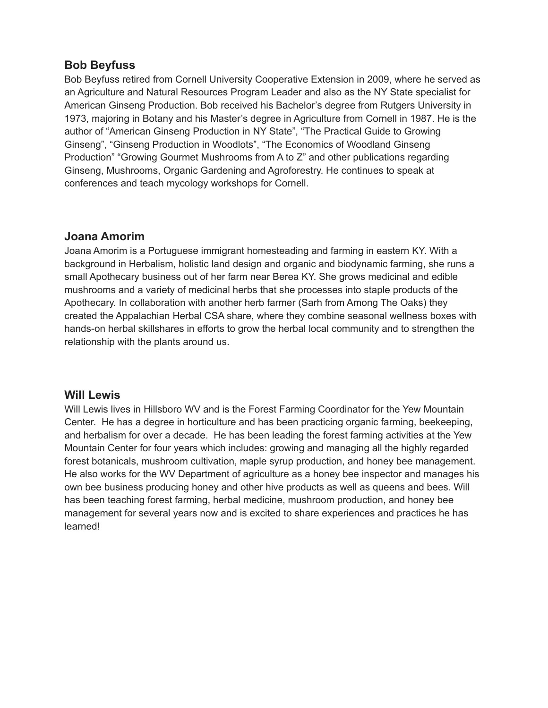### **Bob Beyfuss**

Bob Beyfuss retired from Cornell University Cooperative Extension in 2009, where he served as an Agriculture and Natural Resources Program Leader and also as the NY State specialist for American Ginseng Production. Bob received his Bachelor's degree from Rutgers University in 1973, majoring in Botany and his Master's degree in Agriculture from Cornell in 1987. He is the author of "American Ginseng Production in NY State", "The Practical Guide to Growing Ginseng", "Ginseng Production in Woodlots", "The Economics of Woodland Ginseng Production" "Growing Gourmet Mushrooms from A to Z" and other publications regarding Ginseng, Mushrooms, Organic Gardening and Agroforestry. He continues to speak at conferences and teach mycology workshops for Cornell.

### **Joana Amorim**

Joana Amorim is a Portuguese immigrant homesteading and farming in eastern KY. With a background in Herbalism, holistic land design and organic and biodynamic farming, she runs a small Apothecary business out of her farm near Berea KY. She grows medicinal and edible mushrooms and a variety of medicinal herbs that she processes into staple products of the Apothecary. In collaboration with another herb farmer (Sarh from Among The Oaks) they created the Appalachian Herbal CSA share, where they combine seasonal wellness boxes with hands-on herbal skillshares in efforts to grow the herbal local community and to strengthen the relationship with the plants around us.

#### **Will Lewis**

Will Lewis lives in Hillsboro WV and is the Forest Farming Coordinator for the Yew Mountain Center. He has a degree in horticulture and has been practicing organic farming, beekeeping, and herbalism for over a decade. He has been leading the forest farming activities at the Yew Mountain Center for four years which includes: growing and managing all the highly regarded forest botanicals, mushroom cultivation, maple syrup production, and honey bee management. He also works for the WV Department of agriculture as a honey bee inspector and manages his own bee business producing honey and other hive products as well as queens and bees. Will has been teaching forest farming, herbal medicine, mushroom production, and honey bee management for several years now and is excited to share experiences and practices he has learned!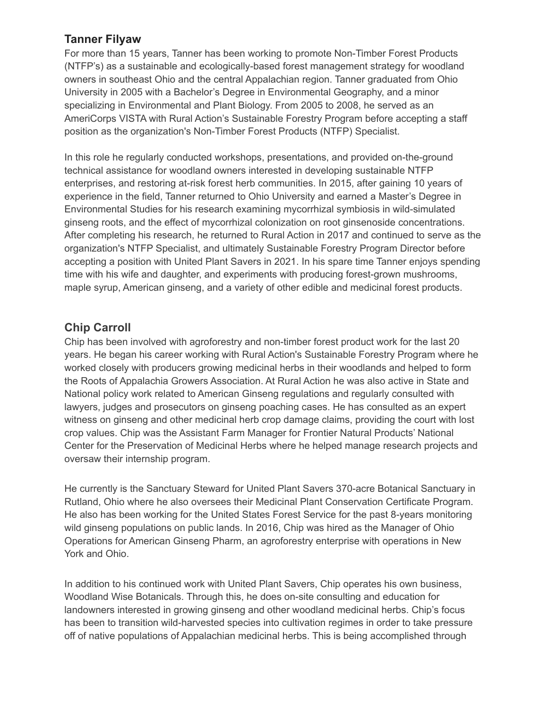## **Tanner Filyaw**

For more than 15 years, Tanner has been working to promote Non-Timber Forest Products (NTFP's) as a sustainable and ecologically-based forest management strategy for woodland owners in southeast Ohio and the central Appalachian region. Tanner graduated from Ohio University in 2005 with a Bachelor's Degree in Environmental Geography, and a minor specializing in Environmental and Plant Biology. From 2005 to 2008, he served as an AmeriCorps VISTA with Rural Action's Sustainable Forestry Program before accepting a staff position as the organization's Non-Timber Forest Products (NTFP) Specialist.

In this role he regularly conducted workshops, presentations, and provided on-the-ground technical assistance for woodland owners interested in developing sustainable NTFP enterprises, and restoring at-risk forest herb communities. In 2015, after gaining 10 years of experience in the field, Tanner returned to Ohio University and earned a Master's Degree in Environmental Studies for his research examining mycorrhizal symbiosis in wild-simulated ginseng roots, and the effect of mycorrhizal colonization on root ginsenoside concentrations. After completing his research, he returned to Rural Action in 2017 and continued to serve as the organization's NTFP Specialist, and ultimately Sustainable Forestry Program Director before accepting a position with United Plant Savers in 2021. In his spare time Tanner enjoys spending time with his wife and daughter, and experiments with producing forest-grown mushrooms, maple syrup, American ginseng, and a variety of other edible and medicinal forest products.

# **Chip Carroll**

Chip has been involved with agroforestry and non-timber forest product work for the last 20 years. He began his career working with Rural Action's Sustainable Forestry Program where he worked closely with producers growing medicinal herbs in their woodlands and helped to form the Roots of Appalachia Growers Association. At Rural Action he was also active in State and National policy work related to American Ginseng regulations and regularly consulted with lawyers, judges and prosecutors on ginseng poaching cases. He has consulted as an expert witness on ginseng and other medicinal herb crop damage claims, providing the court with lost crop values. Chip was the Assistant Farm Manager for Frontier Natural Products' National Center for the Preservation of Medicinal Herbs where he helped manage research projects and oversaw their internship program.

He currently is the Sanctuary Steward for United Plant Savers 370-acre Botanical Sanctuary in Rutland, Ohio where he also oversees their Medicinal Plant Conservation Certificate Program. He also has been working for the United States Forest Service for the past 8-years monitoring wild ginseng populations on public lands. In 2016, Chip was hired as the Manager of Ohio Operations for American Ginseng Pharm, an agroforestry enterprise with operations in New York and Ohio.

In addition to his continued work with United Plant Savers, Chip operates his own business, Woodland Wise Botanicals. Through this, he does on-site consulting and education for landowners interested in growing ginseng and other woodland medicinal herbs. Chip's focus has been to transition wild-harvested species into cultivation regimes in order to take pressure off of native populations of Appalachian medicinal herbs. This is being accomplished through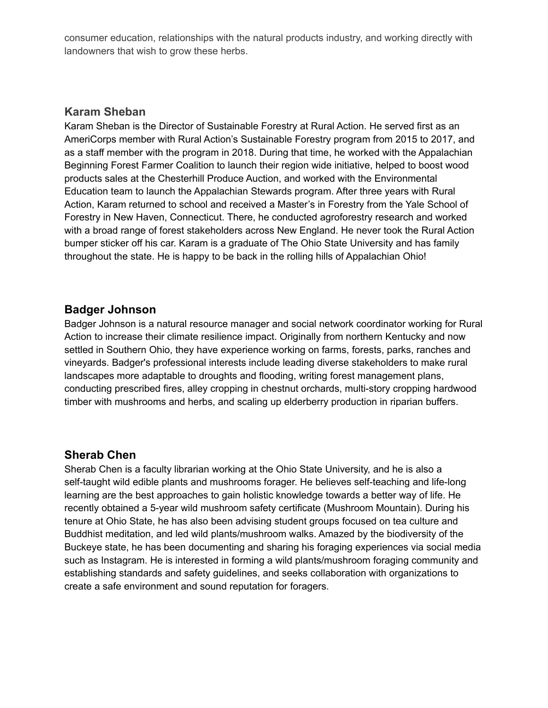consumer education, relationships with the natural products industry, and working directly with landowners that wish to grow these herbs.

#### **Karam Sheban**

Karam Sheban is the Director of Sustainable Forestry at Rural Action. He served first as an AmeriCorps member with Rural Action's Sustainable Forestry program from 2015 to 2017, and as a staff member with the program in 2018. During that time, he worked with the Appalachian Beginning Forest Farmer Coalition to launch their region wide initiative, helped to boost wood products sales at the Chesterhill Produce Auction, and worked with the Environmental Education team to launch the Appalachian Stewards program. After three years with Rural Action, Karam returned to school and received a Master's in Forestry from the Yale School of Forestry in New Haven, Connecticut. There, he conducted agroforestry research and worked with a broad range of forest stakeholders across New England. He never took the Rural Action bumper sticker off his car. Karam is a graduate of The Ohio State University and has family throughout the state. He is happy to be back in the rolling hills of Appalachian Ohio!

#### **Badger Johnson**

Badger Johnson is a natural resource manager and social network coordinator working for Rural Action to increase their climate resilience impact. Originally from northern Kentucky and now settled in Southern Ohio, they have experience working on farms, forests, parks, ranches and vineyards. Badger's professional interests include leading diverse stakeholders to make rural landscapes more adaptable to droughts and flooding, writing forest management plans, conducting prescribed fires, alley cropping in chestnut orchards, multi-story cropping hardwood timber with mushrooms and herbs, and scaling up elderberry production in riparian buffers.

### **Sherab Chen**

Sherab Chen is a faculty librarian working at the Ohio State University, and he is also a self-taught wild edible plants and mushrooms forager. He believes self-teaching and life-long learning are the best approaches to gain holistic knowledge towards a better way of life. He recently obtained a 5-year wild mushroom safety certificate (Mushroom Mountain). During his tenure at Ohio State, he has also been advising student groups focused on tea culture and Buddhist meditation, and led wild plants/mushroom walks. Amazed by the biodiversity of the Buckeye state, he has been documenting and sharing his foraging experiences via social media such as Instagram. He is interested in forming a wild plants/mushroom foraging community and establishing standards and safety guidelines, and seeks collaboration with organizations to create a safe environment and sound reputation for foragers.